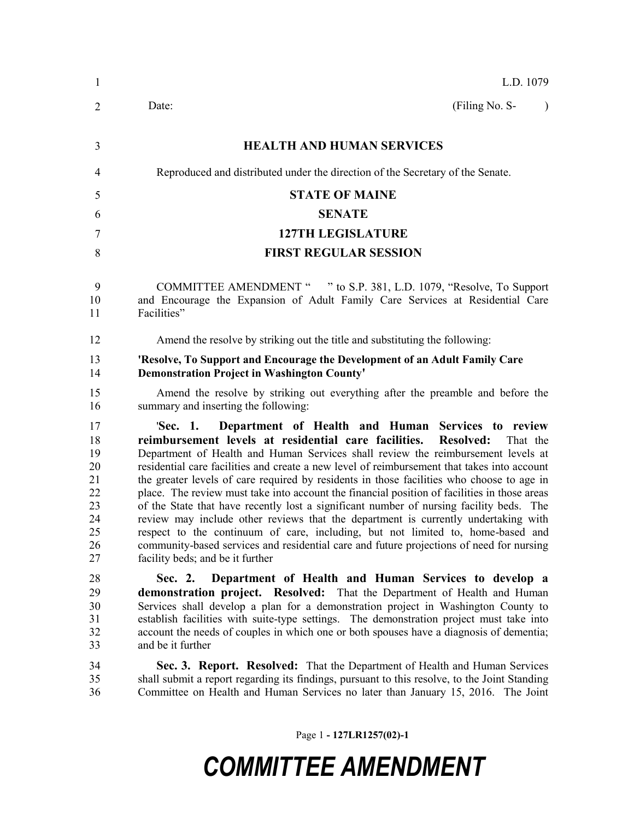| $\mathbf{1}$                                                   | L.D. 1079                                                                                                                                                                                                                                                                                                                                                                                                                                                                                                                                                                                                                                                                                                                                                                                                                                                                                                                                 |
|----------------------------------------------------------------|-------------------------------------------------------------------------------------------------------------------------------------------------------------------------------------------------------------------------------------------------------------------------------------------------------------------------------------------------------------------------------------------------------------------------------------------------------------------------------------------------------------------------------------------------------------------------------------------------------------------------------------------------------------------------------------------------------------------------------------------------------------------------------------------------------------------------------------------------------------------------------------------------------------------------------------------|
| 2                                                              | (Filing No. S-<br>Date:<br>$\lambda$                                                                                                                                                                                                                                                                                                                                                                                                                                                                                                                                                                                                                                                                                                                                                                                                                                                                                                      |
| 3                                                              | <b>HEALTH AND HUMAN SERVICES</b>                                                                                                                                                                                                                                                                                                                                                                                                                                                                                                                                                                                                                                                                                                                                                                                                                                                                                                          |
| 4                                                              | Reproduced and distributed under the direction of the Secretary of the Senate.                                                                                                                                                                                                                                                                                                                                                                                                                                                                                                                                                                                                                                                                                                                                                                                                                                                            |
| 5                                                              | <b>STATE OF MAINE</b>                                                                                                                                                                                                                                                                                                                                                                                                                                                                                                                                                                                                                                                                                                                                                                                                                                                                                                                     |
| 6                                                              | <b>SENATE</b>                                                                                                                                                                                                                                                                                                                                                                                                                                                                                                                                                                                                                                                                                                                                                                                                                                                                                                                             |
| 7                                                              | <b>127TH LEGISLATURE</b>                                                                                                                                                                                                                                                                                                                                                                                                                                                                                                                                                                                                                                                                                                                                                                                                                                                                                                                  |
| 8                                                              | <b>FIRST REGULAR SESSION</b>                                                                                                                                                                                                                                                                                                                                                                                                                                                                                                                                                                                                                                                                                                                                                                                                                                                                                                              |
| 9<br>10<br>11                                                  | COMMITTEE AMENDMENT " " to S.P. 381, L.D. 1079, "Resolve, To Support<br>and Encourage the Expansion of Adult Family Care Services at Residential Care<br>Facilities"                                                                                                                                                                                                                                                                                                                                                                                                                                                                                                                                                                                                                                                                                                                                                                      |
| 12                                                             | Amend the resolve by striking out the title and substituting the following:                                                                                                                                                                                                                                                                                                                                                                                                                                                                                                                                                                                                                                                                                                                                                                                                                                                               |
| 13<br>14                                                       | 'Resolve, To Support and Encourage the Development of an Adult Family Care<br><b>Demonstration Project in Washington County'</b>                                                                                                                                                                                                                                                                                                                                                                                                                                                                                                                                                                                                                                                                                                                                                                                                          |
| 15<br>16                                                       | Amend the resolve by striking out everything after the preamble and before the<br>summary and inserting the following:                                                                                                                                                                                                                                                                                                                                                                                                                                                                                                                                                                                                                                                                                                                                                                                                                    |
| 17<br>18<br>19<br>20<br>21<br>22<br>23<br>24<br>25<br>26<br>27 | Department of Health and Human Services to review<br>'Sec. 1.<br>reimbursement levels at residential care facilities.<br><b>Resolved:</b><br>That the<br>Department of Health and Human Services shall review the reimbursement levels at<br>residential care facilities and create a new level of reimbursement that takes into account<br>the greater levels of care required by residents in those facilities who choose to age in<br>place. The review must take into account the financial position of facilities in those areas<br>of the State that have recently lost a significant number of nursing facility beds. The<br>review may include other reviews that the department is currently undertaking with<br>respect to the continuum of care, including, but not limited to, home-based and<br>community-based services and residential care and future projections of need for nursing<br>facility beds; and be it further |
| 28<br>29<br>30<br>31<br>32<br>33                               | Department of Health and Human Services to develop a<br>Sec. 2.<br>demonstration project. Resolved: That the Department of Health and Human<br>Services shall develop a plan for a demonstration project in Washington County to<br>establish facilities with suite-type settings. The demonstration project must take into<br>account the needs of couples in which one or both spouses have a diagnosis of dementia;<br>and be it further                                                                                                                                                                                                                                                                                                                                                                                                                                                                                               |
| 34<br>35<br>36                                                 | Sec. 3. Report. Resolved: That the Department of Health and Human Services<br>shall submit a report regarding its findings, pursuant to this resolve, to the Joint Standing<br>Committee on Health and Human Services no later than January 15, 2016. The Joint                                                                                                                                                                                                                                                                                                                                                                                                                                                                                                                                                                                                                                                                           |

Page 1 **- 127LR1257(02)-1**

## *COMMITTEE AMENDMENT*